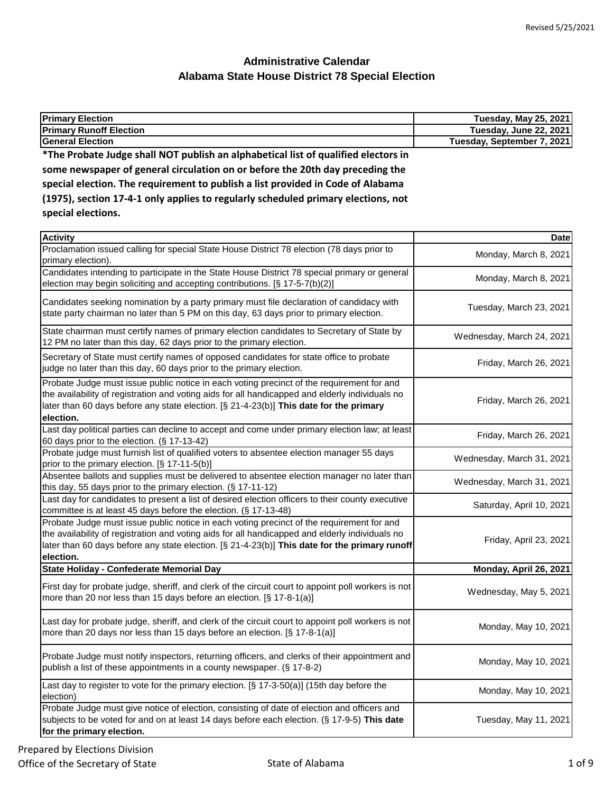| <b>Primary Election</b>                                                            | <b>Tuesday, May 25, 2021</b> |
|------------------------------------------------------------------------------------|------------------------------|
| <b>Primary Runoff Election</b>                                                     | Tuesday, June 22, 2021       |
| <b>General Election</b>                                                            | Tuesday, September 7, 2021   |
| *The Probate Judge shall NOT publish an alphabetical list of qualified electors in |                              |
| some newspaper of general circulation on or before the 20th day preceding the      |                              |

| special election. The requirement to publish a list provided in Code of Alabama   |
|-----------------------------------------------------------------------------------|
| (1975), section 17-4-1 only applies to regularly scheduled primary elections, not |
| special elections.                                                                |

| <b>Activity</b>                                                                                                                                                                                                                                                                                            | <b>Date</b>               |
|------------------------------------------------------------------------------------------------------------------------------------------------------------------------------------------------------------------------------------------------------------------------------------------------------------|---------------------------|
| Proclamation issued calling for special State House District 78 election (78 days prior to<br>primary election).                                                                                                                                                                                           | Monday, March 8, 2021     |
| Candidates intending to participate in the State House District 78 special primary or general<br>election may begin soliciting and accepting contributions. [§ 17-5-7(b)(2)]                                                                                                                               | Monday, March 8, 2021     |
| Candidates seeking nomination by a party primary must file declaration of candidacy with<br>state party chairman no later than 5 PM on this day, 63 days prior to primary election.                                                                                                                        | Tuesday, March 23, 2021   |
| State chairman must certify names of primary election candidates to Secretary of State by<br>12 PM no later than this day, 62 days prior to the primary election.                                                                                                                                          | Wednesday, March 24, 2021 |
| Secretary of State must certify names of opposed candidates for state office to probate<br>judge no later than this day, 60 days prior to the primary election.                                                                                                                                            | Friday, March 26, 2021    |
| Probate Judge must issue public notice in each voting precinct of the requirement for and<br>the availability of registration and voting aids for all handicapped and elderly individuals no<br>later than 60 days before any state election. [§ 21-4-23(b)] This date for the primary<br>election.        | Friday, March 26, 2021    |
| Last day political parties can decline to accept and come under primary election law; at least<br>60 days prior to the election. (§ 17-13-42)                                                                                                                                                              | Friday, March 26, 2021    |
| Probate judge must furnish list of qualified voters to absentee election manager 55 days<br>prior to the primary election. [§ 17-11-5(b)]                                                                                                                                                                  | Wednesday, March 31, 2021 |
| Absentee ballots and supplies must be delivered to absentee election manager no later than<br>this day, 55 days prior to the primary election. (§ 17-11-12)                                                                                                                                                | Wednesday, March 31, 2021 |
| Last day for candidates to present a list of desired election officers to their county executive<br>committee is at least 45 days before the election. (§ 17-13-48)                                                                                                                                        | Saturday, April 10, 2021  |
| Probate Judge must issue public notice in each voting precinct of the requirement for and<br>the availability of registration and voting aids for all handicapped and elderly individuals no<br>later than 60 days before any state election. [§ 21-4-23(b)] This date for the primary runoff<br>election. | Friday, April 23, 2021    |
| State Holiday - Confederate Memorial Day                                                                                                                                                                                                                                                                   | Monday, April 26, 2021    |
| First day for probate judge, sheriff, and clerk of the circuit court to appoint poll workers is not<br>more than 20 nor less than 15 days before an election. [§ 17-8-1(a)]                                                                                                                                | Wednesday, May 5, 2021    |
| Last day for probate judge, sheriff, and clerk of the circuit court to appoint poll workers is not<br>more than 20 days nor less than 15 days before an election. [§ 17-8-1(a)]                                                                                                                            | Monday, May 10, 2021      |
| Probate Judge must notify inspectors, returning officers, and clerks of their appointment and<br>publish a list of these appointments in a county newspaper. (§ 17-8-2)                                                                                                                                    | Monday, May 10, 2021      |
| Last day to register to vote for the primary election. [§ 17-3-50(a)] (15th day before the<br>election)                                                                                                                                                                                                    | Monday, May 10, 2021      |
| Probate Judge must give notice of election, consisting of date of election and officers and<br>subjects to be voted for and on at least 14 days before each election. (§ 17-9-5) This date<br>for the primary election.                                                                                    | Tuesday, May 11, 2021     |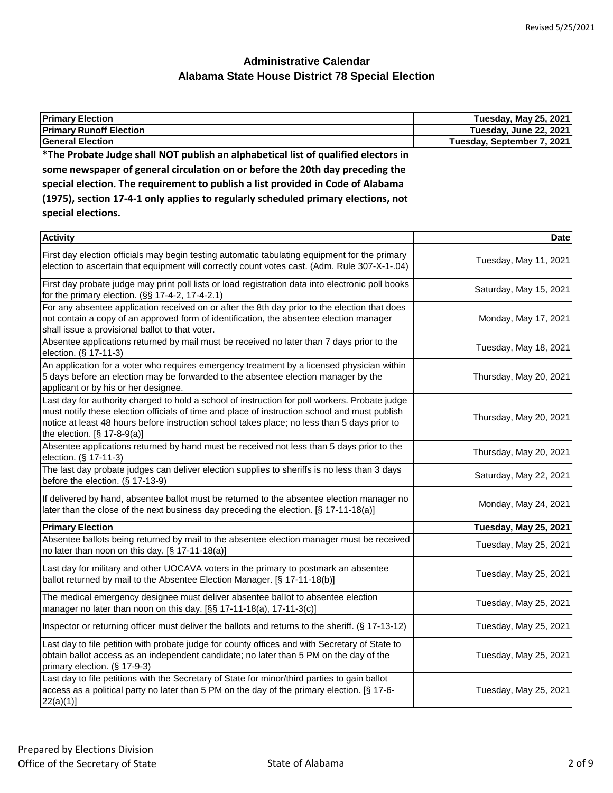| <b>Primary Election</b>                                                            | <b>Tuesday, May 25, 2021</b> |
|------------------------------------------------------------------------------------|------------------------------|
| <b>Primary Runoff Election</b>                                                     | Tuesday, June 22, 2021       |
| <b>General Election</b>                                                            | Tuesday, September 7, 2021   |
| *The Probate Judge shall NOT publish an alphabetical list of qualified electors in |                              |
| some newspaper of general circulation on or before the 20th day preceding the      |                              |
| special election. The requirement to publish a list provided in Code of Alabama    |                              |
| (1975), section 17-4-1 only applies to regularly scheduled primary elections, not  |                              |
| special elections.                                                                 |                              |
|                                                                                    |                              |

| <b>Activity</b>                                                                                                                                                                                                                                                                                                                | <b>Date</b>                  |
|--------------------------------------------------------------------------------------------------------------------------------------------------------------------------------------------------------------------------------------------------------------------------------------------------------------------------------|------------------------------|
| First day election officials may begin testing automatic tabulating equipment for the primary<br>election to ascertain that equipment will correctly count votes cast. (Adm. Rule 307-X-1-.04)                                                                                                                                 | Tuesday, May 11, 2021        |
| First day probate judge may print poll lists or load registration data into electronic poll books<br>for the primary election. (§§ 17-4-2, 17-4-2.1)                                                                                                                                                                           | Saturday, May 15, 2021       |
| For any absentee application received on or after the 8th day prior to the election that does<br>not contain a copy of an approved form of identification, the absentee election manager<br>shall issue a provisional ballot to that voter.                                                                                    | Monday, May 17, 2021         |
| Absentee applications returned by mail must be received no later than 7 days prior to the<br>election. (§ 17-11-3)                                                                                                                                                                                                             | Tuesday, May 18, 2021        |
| An application for a voter who requires emergency treatment by a licensed physician within<br>5 days before an election may be forwarded to the absentee election manager by the<br>applicant or by his or her designee.                                                                                                       | Thursday, May 20, 2021       |
| Last day for authority charged to hold a school of instruction for poll workers. Probate judge<br>must notify these election officials of time and place of instruction school and must publish<br>notice at least 48 hours before instruction school takes place; no less than 5 days prior to<br>the election. [§ 17-8-9(a)] | Thursday, May 20, 2021       |
| Absentee applications returned by hand must be received not less than 5 days prior to the<br>election. (§ 17-11-3)                                                                                                                                                                                                             | Thursday, May 20, 2021       |
| The last day probate judges can deliver election supplies to sheriffs is no less than 3 days<br>before the election. (§ 17-13-9)                                                                                                                                                                                               | Saturday, May 22, 2021       |
| If delivered by hand, absentee ballot must be returned to the absentee election manager no<br>later than the close of the next business day preceding the election. [§ 17-11-18(a)]                                                                                                                                            | Monday, May 24, 2021         |
| <b>Primary Election</b>                                                                                                                                                                                                                                                                                                        | <b>Tuesday, May 25, 2021</b> |
| Absentee ballots being returned by mail to the absentee election manager must be received<br>no later than noon on this day. [§ 17-11-18(a)]                                                                                                                                                                                   | Tuesday, May 25, 2021        |
| Last day for military and other UOCAVA voters in the primary to postmark an absentee<br>ballot returned by mail to the Absentee Election Manager. [§ 17-11-18(b)]                                                                                                                                                              | Tuesday, May 25, 2021        |
| The medical emergency designee must deliver absentee ballot to absentee election<br>manager no later than noon on this day. [§§ 17-11-18(a), 17-11-3(c)]                                                                                                                                                                       | Tuesday, May 25, 2021        |
| Inspector or returning officer must deliver the ballots and returns to the sheriff. (§ 17-13-12)                                                                                                                                                                                                                               | Tuesday, May 25, 2021        |
| Last day to file petition with probate judge for county offices and with Secretary of State to<br>obtain ballot access as an independent candidate; no later than 5 PM on the day of the<br>primary election. (§ 17-9-3)                                                                                                       | Tuesday, May 25, 2021        |
| Last day to file petitions with the Secretary of State for minor/third parties to gain ballot<br>access as a political party no later than 5 PM on the day of the primary election. [§ 17-6-<br>22(a)(1)                                                                                                                       | Tuesday, May 25, 2021        |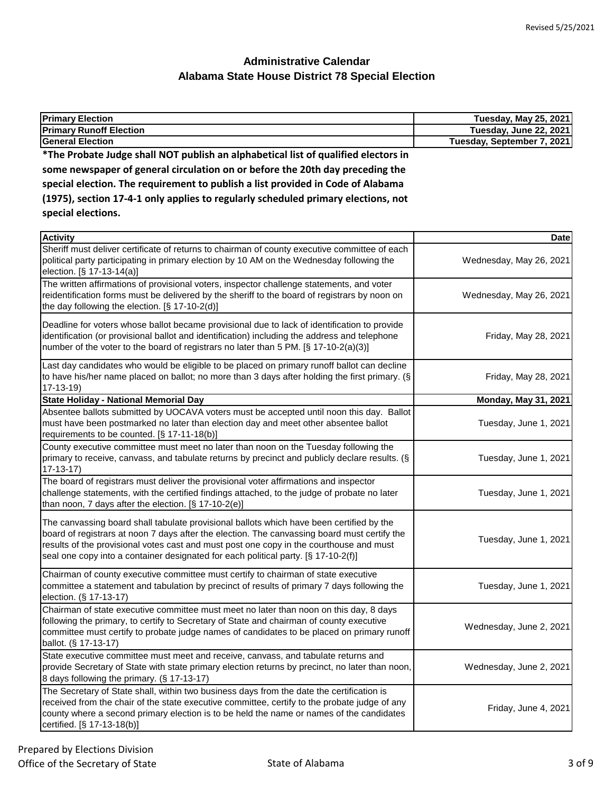| <b>Primary Election</b>                                                                                                                                                            | <b>Tuesday, May 25, 2021</b> |
|------------------------------------------------------------------------------------------------------------------------------------------------------------------------------------|------------------------------|
| <b>Primary Runoff Election</b>                                                                                                                                                     | Tuesday, June 22, 2021       |
| <b>General Election</b>                                                                                                                                                            | Tuesday, September 7, 2021   |
| *The Probate Judge shall NOT publish an alphabetical list of qualified electors in                                                                                                 |                              |
| some newspaper of general circulation on or before the 20th day preceding the                                                                                                      |                              |
| special election. The requirement to publish a list provided in Code of Alabama                                                                                                    |                              |
| (1975), section 17-4-1 only applies to regularly scheduled primary elections, not                                                                                                  |                              |
| special elections.                                                                                                                                                                 |                              |
|                                                                                                                                                                                    |                              |
| <b>Activity</b>                                                                                                                                                                    | <b>Date</b>                  |
| Sheriff must deliver certificate of returns to chairman of county executive committee of each                                                                                      |                              |
| political party participating in primary election by 10 AM on the Wednesday following the<br>election. [§ 17-13-14(a)]                                                             | Wednesday, May 26, 2021      |
| The written affirmations of provisional voters, inspector challenge statements, and voter                                                                                          |                              |
| reidentification forms must be delivered by the sheriff to the board of registrars by noon on                                                                                      | Wednesday, May 26, 2021      |
| the day following the election. [§ 17-10-2(d)]                                                                                                                                     |                              |
| Deadline for voters whose ballot became provisional due to lack of identification to provide                                                                                       |                              |
| identification (or provisional ballot and identification) including the address and telephone                                                                                      | Friday, May 28, 2021         |
| number of the voter to the board of registrars no later than 5 PM. [§ 17-10-2(a)(3)]                                                                                               |                              |
| Last day candidates who would be eligible to be placed on primary runoff ballot can decline                                                                                        |                              |
| to have his/her name placed on ballot; no more than 3 days after holding the first primary. (§                                                                                     | Friday, May 28, 2021         |
| $17-13-19$                                                                                                                                                                         |                              |
| <b>State Holiday - National Memorial Day</b>                                                                                                                                       | <b>Monday, May 31, 2021</b>  |
| Absentee ballots submitted by UOCAVA voters must be accepted until noon this day. Ballot                                                                                           |                              |
| must have been postmarked no later than election day and meet other absentee ballot                                                                                                | Tuesday, June 1, 2021        |
| requirements to be counted. [§ 17-11-18(b)]                                                                                                                                        |                              |
| County executive committee must meet no later than noon on the Tuesday following the                                                                                               |                              |
| primary to receive, canvass, and tabulate returns by precinct and publicly declare results. (§                                                                                     | Tuesday, June 1, 2021        |
| $17-13-17$<br>The board of registrars must deliver the provisional voter affirmations and inspector                                                                                |                              |
| challenge statements, with the certified findings attached, to the judge of probate no later                                                                                       | Tuesday, June 1, 2021        |
| than noon, 7 days after the election. [§ 17-10-2(e)]                                                                                                                               |                              |
|                                                                                                                                                                                    |                              |
| The canvassing board shall tabulate provisional ballots which have been certified by the                                                                                           |                              |
| board of registrars at noon 7 days after the election. The canvassing board must certify the                                                                                       | Tuesday, June 1, 2021        |
| results of the provisional votes cast and must post one copy in the courthouse and must<br>seal one copy into a container designated for each political party. [§ 17-10-2(f)]      |                              |
|                                                                                                                                                                                    |                              |
| Chairman of county executive committee must certify to chairman of state executive                                                                                                 |                              |
| committee a statement and tabulation by precinct of results of primary 7 days following the                                                                                        | Tuesday, June 1, 2021        |
| election. (§ 17-13-17)                                                                                                                                                             |                              |
| Chairman of state executive committee must meet no later than noon on this day, 8 days<br>following the primary, to certify to Secretary of State and chairman of county executive |                              |
| committee must certify to probate judge names of candidates to be placed on primary runoff                                                                                         | Wednesday, June 2, 2021      |
| ballot. (§ 17-13-17)                                                                                                                                                               |                              |
| State executive committee must meet and receive, canvass, and tabulate returns and                                                                                                 |                              |
| provide Secretary of State with state primary election returns by precinct, no later than noon,                                                                                    | Wednesday, June 2, 2021      |
| 8 days following the primary. (§ 17-13-17)                                                                                                                                         |                              |
| The Secretary of State shall, within two business days from the date the certification is                                                                                          |                              |
| received from the chair of the state executive committee, certify to the probate judge of any                                                                                      | Friday, June 4, 2021         |
| county where a second primary election is to be held the name or names of the candidates                                                                                           |                              |
| certified. [§ 17-13-18(b)]                                                                                                                                                         |                              |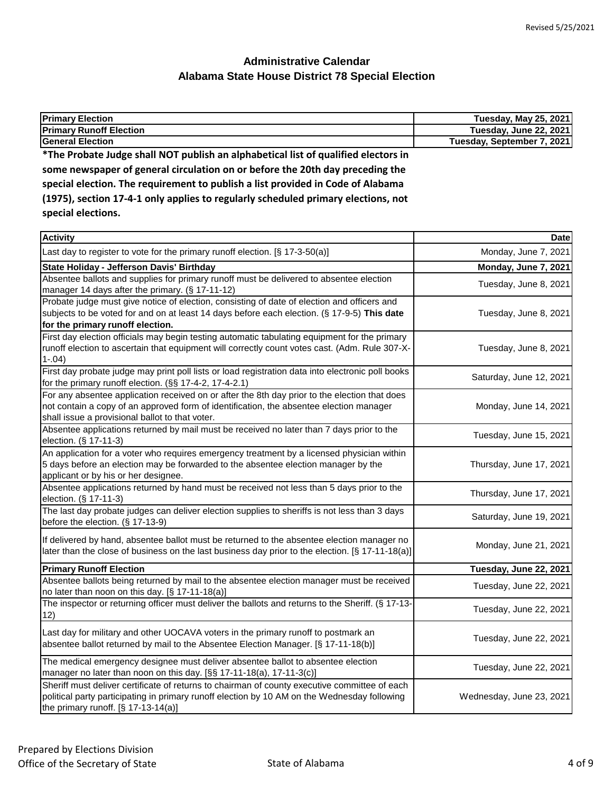| <b>Primary Election</b>                                                            | Tuesday, May 25, 2021      |
|------------------------------------------------------------------------------------|----------------------------|
| <b>Primary Runoff Election</b>                                                     | Tuesday, June 22, 2021     |
| <b>General Election</b>                                                            | Tuesday, September 7, 2021 |
| *The Probate Judge shall NOT publish an alphabetical list of qualified electors in |                            |
| some newspaper of general circulation on or before the 20th day preceding the      |                            |
| special election. The requirement to publish a list provided in Code of Alabama    |                            |

|                    |  | (1975), section 17-4-1 only applies to regularly scheduled primary elections, not |
|--------------------|--|-----------------------------------------------------------------------------------|
| special elections. |  |                                                                                   |

| <b>Activity</b>                                                                                                                                                                                                                             | Date                     |
|---------------------------------------------------------------------------------------------------------------------------------------------------------------------------------------------------------------------------------------------|--------------------------|
| Last day to register to vote for the primary runoff election. [§ 17-3-50(a)]                                                                                                                                                                | Monday, June 7, 2021     |
| State Holiday - Jefferson Davis' Birthday                                                                                                                                                                                                   | Monday, June 7, 2021     |
| Absentee ballots and supplies for primary runoff must be delivered to absentee election<br>manager 14 days after the primary. (§ 17-11-12)                                                                                                  | Tuesday, June 8, 2021    |
| Probate judge must give notice of election, consisting of date of election and officers and<br>subjects to be voted for and on at least 14 days before each election. (§ 17-9-5) This date<br>for the primary runoff election.              | Tuesday, June 8, 2021    |
| First day election officials may begin testing automatic tabulating equipment for the primary<br>runoff election to ascertain that equipment will correctly count votes cast. (Adm. Rule 307-X-<br>$1-.04)$                                 | Tuesday, June 8, 2021    |
| First day probate judge may print poll lists or load registration data into electronic poll books<br>for the primary runoff election. (§§ 17-4-2, 17-4-2.1)                                                                                 | Saturday, June 12, 2021  |
| For any absentee application received on or after the 8th day prior to the election that does<br>not contain a copy of an approved form of identification, the absentee election manager<br>shall issue a provisional ballot to that voter. | Monday, June 14, 2021    |
| Absentee applications returned by mail must be received no later than 7 days prior to the<br>election. (§ 17-11-3)                                                                                                                          | Tuesday, June 15, 2021   |
| An application for a voter who requires emergency treatment by a licensed physician within<br>5 days before an election may be forwarded to the absentee election manager by the<br>applicant or by his or her designee.                    | Thursday, June 17, 2021  |
| Absentee applications returned by hand must be received not less than 5 days prior to the<br>election. (§ 17-11-3)                                                                                                                          | Thursday, June 17, 2021  |
| The last day probate judges can deliver election supplies to sheriffs is not less than 3 days<br>before the election. (§ 17-13-9)                                                                                                           | Saturday, June 19, 2021  |
| If delivered by hand, absentee ballot must be returned to the absentee election manager no<br>later than the close of business on the last business day prior to the election. [§ 17-11-18(a)]                                              | Monday, June 21, 2021    |
| <b>Primary Runoff Election</b>                                                                                                                                                                                                              | Tuesday, June 22, 2021   |
| Absentee ballots being returned by mail to the absentee election manager must be received<br>no later than noon on this day. [§ 17-11-18(a)]                                                                                                | Tuesday, June 22, 2021   |
| The inspector or returning officer must deliver the ballots and returns to the Sheriff. (§ 17-13-<br>12)                                                                                                                                    | Tuesday, June 22, 2021   |
| Last day for military and other UOCAVA voters in the primary runoff to postmark an<br>absentee ballot returned by mail to the Absentee Election Manager. [§ 17-11-18(b)]                                                                    | Tuesday, June 22, 2021   |
| The medical emergency designee must deliver absentee ballot to absentee election<br>manager no later than noon on this day. [§§ 17-11-18(a), 17-11-3(c)]                                                                                    | Tuesday, June 22, 2021   |
| Sheriff must deliver certificate of returns to chairman of county executive committee of each<br>political party participating in primary runoff election by 10 AM on the Wednesday following<br>the primary runoff. $[§ 17-13-14(a)]$      | Wednesday, June 23, 2021 |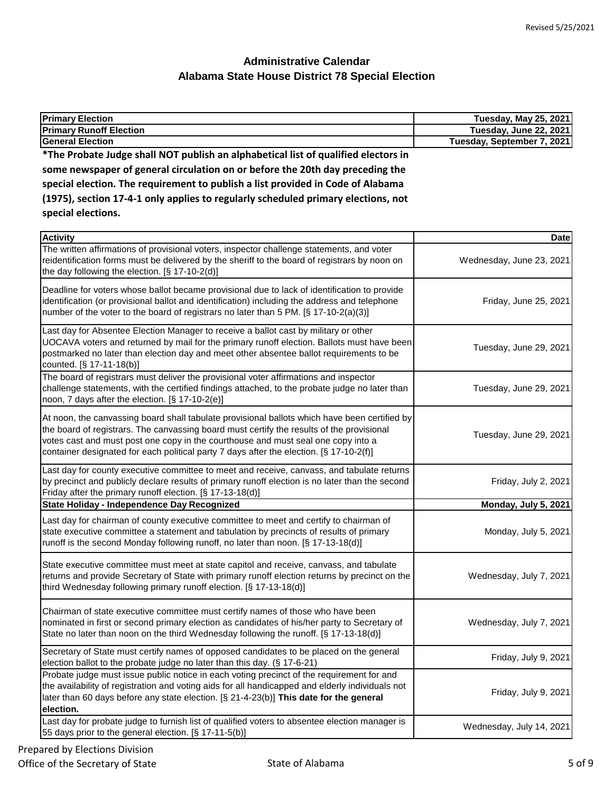| <b>Primary Election</b>                                                                                                                                                                                                                                                                                                                                                    | <b>Tuesday, May 25, 2021</b> |
|----------------------------------------------------------------------------------------------------------------------------------------------------------------------------------------------------------------------------------------------------------------------------------------------------------------------------------------------------------------------------|------------------------------|
| <b>Primary Runoff Election</b>                                                                                                                                                                                                                                                                                                                                             | Tuesday, June 22, 2021       |
| <b>General Election</b>                                                                                                                                                                                                                                                                                                                                                    | Tuesday, September 7, 2021   |
| *The Probate Judge shall NOT publish an alphabetical list of qualified electors in                                                                                                                                                                                                                                                                                         |                              |
| some newspaper of general circulation on or before the 20th day preceding the                                                                                                                                                                                                                                                                                              |                              |
| special election. The requirement to publish a list provided in Code of Alabama                                                                                                                                                                                                                                                                                            |                              |
| (1975), section 17-4-1 only applies to regularly scheduled primary elections, not                                                                                                                                                                                                                                                                                          |                              |
| special elections.                                                                                                                                                                                                                                                                                                                                                         |                              |
|                                                                                                                                                                                                                                                                                                                                                                            |                              |
| <b>Activity</b>                                                                                                                                                                                                                                                                                                                                                            | <b>Date</b>                  |
| The written affirmations of provisional voters, inspector challenge statements, and voter<br>reidentification forms must be delivered by the sheriff to the board of registrars by noon on<br>the day following the election. [§ 17-10-2(d)]                                                                                                                               | Wednesday, June 23, 2021     |
| Deadline for voters whose ballot became provisional due to lack of identification to provide<br>identification (or provisional ballot and identification) including the address and telephone<br>number of the voter to the board of registrars no later than 5 PM. [§ 17-10-2(a)(3)]                                                                                      | Friday, June 25, 2021        |
| Last day for Absentee Election Manager to receive a ballot cast by military or other<br>UOCAVA voters and returned by mail for the primary runoff election. Ballots must have been<br>postmarked no later than election day and meet other absentee ballot requirements to be<br>counted. [§ 17-11-18(b)]                                                                  | Tuesday, June 29, 2021       |
| The board of registrars must deliver the provisional voter affirmations and inspector<br>challenge statements, with the certified findings attached, to the probate judge no later than<br>noon, 7 days after the election. [§ 17-10-2(e)]                                                                                                                                 | Tuesday, June 29, 2021       |
| At noon, the canvassing board shall tabulate provisional ballots which have been certified by<br>the board of registrars. The canvassing board must certify the results of the provisional<br>votes cast and must post one copy in the courthouse and must seal one copy into a<br>container designated for each political party 7 days after the election. [§ 17-10-2(f)] | Tuesday, June 29, 2021       |
| Last day for county executive committee to meet and receive, canvass, and tabulate returns<br>by precinct and publicly declare results of primary runoff election is no later than the second<br>Friday after the primary runoff election. [§ 17-13-18(d)]                                                                                                                 | Friday, July 2, 2021         |
| State Holiday - Independence Day Recognized                                                                                                                                                                                                                                                                                                                                | Monday, July 5, 2021         |
| Last day for chairman of county executive committee to meet and certify to chairman of<br>state executive committee a statement and tabulation by precincts of results of primary<br>runoff is the second Monday following runoff, no later than noon. [§ 17-13-18(d)]                                                                                                     | Monday, July 5, 2021         |
| State executive committee must meet at state capitol and receive, canvass, and tabulate<br>returns and provide Secretary of State with primary runoff election returns by precinct on the<br>third Wednesday following primary runoff election. [§ 17-13-18(d)]                                                                                                            | Wednesday, July 7, 2021      |
| Chairman of state executive committee must certify names of those who have been<br>nominated in first or second primary election as candidates of his/her party to Secretary of<br>State no later than noon on the third Wednesday following the runoff. [§ 17-13-18(d)]                                                                                                   | Wednesday, July 7, 2021      |
| Secretary of State must certify names of opposed candidates to be placed on the general<br>election ballot to the probate judge no later than this day. (§ 17-6-21)                                                                                                                                                                                                        | Friday, July 9, 2021         |
| Probate judge must issue public notice in each voting precinct of the requirement for and<br>the availability of registration and voting aids for all handicapped and elderly individuals not<br>later than 60 days before any state election. [§ 21-4-23(b)] This date for the general<br>election.                                                                       | Friday, July 9, 2021         |

Last day for probate judge to furnish list of qualified voters to absentee election manager is Last day for probate judge to furnish list of qualified voters to absentee election manager is<br>55 days prior to the general election. [§ 17-11-5(b)]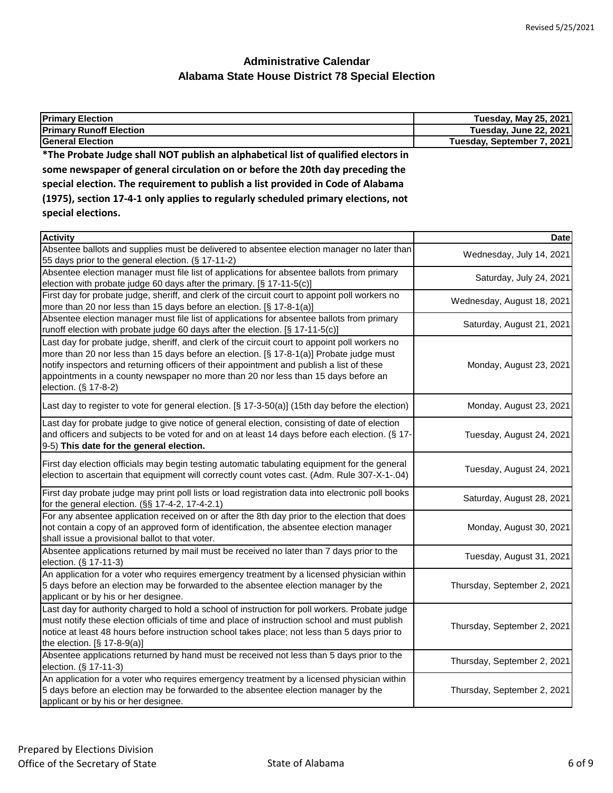| <b>Primary Election</b>                                                            | Tuesday, May 25, 2021      |
|------------------------------------------------------------------------------------|----------------------------|
| <b>Primary Runoff Election</b>                                                     | Tuesday, June 22, 2021     |
| <b>General Election</b>                                                            | Tuesday, September 7, 2021 |
| *The Probate Judge shall NOT publish an alphabetical list of qualified electors in |                            |
| some newspaper of general circulation on or before the 20th day preceding the      |                            |
| special election. The requirement to publish a list provided in Code of Alabama    |                            |
| (1975), section 17-4-1 only applies to regularly scheduled primary elections, not  |                            |

**special elections.**

| <b>Activity</b>                                                                                                                                                                                                                                                                                                                                                                                      | <b>Date</b>                 |
|------------------------------------------------------------------------------------------------------------------------------------------------------------------------------------------------------------------------------------------------------------------------------------------------------------------------------------------------------------------------------------------------------|-----------------------------|
| Absentee ballots and supplies must be delivered to absentee election manager no later than<br>55 days prior to the general election. (§ 17-11-2)                                                                                                                                                                                                                                                     | Wednesday, July 14, 2021    |
| Absentee election manager must file list of applications for absentee ballots from primary<br>election with probate judge 60 days after the primary. [§ 17-11-5(c)]                                                                                                                                                                                                                                  | Saturday, July 24, 2021     |
| First day for probate judge, sheriff, and clerk of the circuit court to appoint poll workers no<br>more than 20 nor less than 15 days before an election. [§ 17-8-1(a)]                                                                                                                                                                                                                              | Wednesday, August 18, 2021  |
| Absentee election manager must file list of applications for absentee ballots from primary<br>runoff election with probate judge 60 days after the election. [§ 17-11-5(c)]                                                                                                                                                                                                                          | Saturday, August 21, 2021   |
| Last day for probate judge, sheriff, and clerk of the circuit court to appoint poll workers no<br>more than 20 nor less than 15 days before an election. [§ 17-8-1(a)] Probate judge must<br>notify inspectors and returning officers of their appointment and publish a list of these<br>appointments in a county newspaper no more than 20 nor less than 15 days before an<br>election. (§ 17-8-2) | Monday, August 23, 2021     |
| Last day to register to vote for general election. [§ 17-3-50(a)] (15th day before the election)                                                                                                                                                                                                                                                                                                     | Monday, August 23, 2021     |
| Last day for probate judge to give notice of general election, consisting of date of election<br>and officers and subjects to be voted for and on at least 14 days before each election. (§ 17-<br>9-5) This date for the general election.                                                                                                                                                          | Tuesday, August 24, 2021    |
| First day election officials may begin testing automatic tabulating equipment for the general<br>election to ascertain that equipment will correctly count votes cast. (Adm. Rule 307-X-1-.04)                                                                                                                                                                                                       | Tuesday, August 24, 2021    |
| First day probate judge may print poll lists or load registration data into electronic poll books<br>for the general election. (§§ 17-4-2, 17-4-2.1)                                                                                                                                                                                                                                                 | Saturday, August 28, 2021   |
| For any absentee application received on or after the 8th day prior to the election that does<br>not contain a copy of an approved form of identification, the absentee election manager<br>shall issue a provisional ballot to that voter.                                                                                                                                                          | Monday, August 30, 2021     |
| Absentee applications returned by mail must be received no later than 7 days prior to the<br>election. (§ 17-11-3)                                                                                                                                                                                                                                                                                   | Tuesday, August 31, 2021    |
| An application for a voter who requires emergency treatment by a licensed physician within<br>5 days before an election may be forwarded to the absentee election manager by the<br>applicant or by his or her designee.                                                                                                                                                                             | Thursday, September 2, 2021 |
| Last day for authority charged to hold a school of instruction for poll workers. Probate judge<br>must notify these election officials of time and place of instruction school and must publish<br>notice at least 48 hours before instruction school takes place; not less than 5 days prior to<br>the election. $[§ 17-8-9(a)]$                                                                    | Thursday, September 2, 2021 |
| Absentee applications returned by hand must be received not less than 5 days prior to the<br>election. (§ 17-11-3)                                                                                                                                                                                                                                                                                   | Thursday, September 2, 2021 |
| An application for a voter who requires emergency treatment by a licensed physician within<br>5 days before an election may be forwarded to the absentee election manager by the<br>applicant or by his or her designee.                                                                                                                                                                             | Thursday, September 2, 2021 |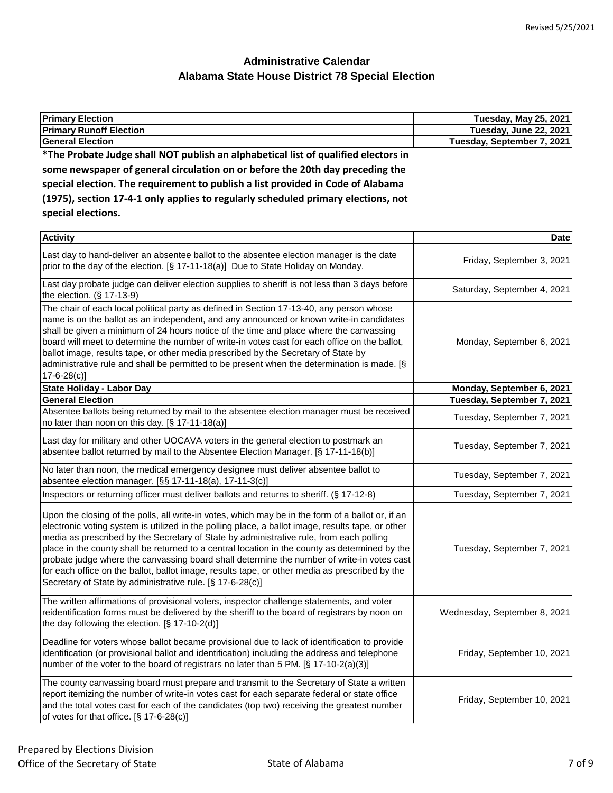| <b>Primary Election</b>                                                            | <b>Tuesday, May 25, 2021</b> |
|------------------------------------------------------------------------------------|------------------------------|
| <b>Primary Runoff Election</b>                                                     | Tuesday, June 22, 2021       |
| <b>General Election</b>                                                            | Tuesday, September 7, 2021   |
| *The Probate Judge shall NOT publish an alphabetical list of qualified electors in |                              |
| some newspaper of general circulation on or before the 20th day preceding the      |                              |
| special election. The requirement to publish a list provided in Code of Alabama    |                              |
| (1975), section 17-4-1 only applies to regularly scheduled primary elections, not  |                              |
| special elections.                                                                 |                              |
| .                                                                                  |                              |

| <b>Activity</b>                                                                                                                                                                                                                                                                                                                                                                                                                                                                                                                                                                                                                                                  | <b>Date</b>                  |
|------------------------------------------------------------------------------------------------------------------------------------------------------------------------------------------------------------------------------------------------------------------------------------------------------------------------------------------------------------------------------------------------------------------------------------------------------------------------------------------------------------------------------------------------------------------------------------------------------------------------------------------------------------------|------------------------------|
| Last day to hand-deliver an absentee ballot to the absentee election manager is the date<br>prior to the day of the election. [§ 17-11-18(a)] Due to State Holiday on Monday.                                                                                                                                                                                                                                                                                                                                                                                                                                                                                    | Friday, September 3, 2021    |
| Last day probate judge can deliver election supplies to sheriff is not less than 3 days before<br>the election. (§ 17-13-9)                                                                                                                                                                                                                                                                                                                                                                                                                                                                                                                                      | Saturday, September 4, 2021  |
| The chair of each local political party as defined in Section 17-13-40, any person whose<br>name is on the ballot as an independent, and any announced or known write-in candidates<br>shall be given a minimum of 24 hours notice of the time and place where the canvassing<br>board will meet to determine the number of write-in votes cast for each office on the ballot,<br>ballot image, results tape, or other media prescribed by the Secretary of State by<br>administrative rule and shall be permitted to be present when the determination is made. [§<br>$17 - 6 - 28(c)$                                                                          | Monday, September 6, 2021    |
| State Holiday - Labor Day                                                                                                                                                                                                                                                                                                                                                                                                                                                                                                                                                                                                                                        | Monday, September 6, 2021    |
| <b>General Election</b>                                                                                                                                                                                                                                                                                                                                                                                                                                                                                                                                                                                                                                          | Tuesday, September 7, 2021   |
| Absentee ballots being returned by mail to the absentee election manager must be received<br>no later than noon on this day. [§ 17-11-18(a)]                                                                                                                                                                                                                                                                                                                                                                                                                                                                                                                     | Tuesday, September 7, 2021   |
| Last day for military and other UOCAVA voters in the general election to postmark an<br>absentee ballot returned by mail to the Absentee Election Manager. [§ 17-11-18(b)]                                                                                                                                                                                                                                                                                                                                                                                                                                                                                       | Tuesday, September 7, 2021   |
| No later than noon, the medical emergency designee must deliver absentee ballot to<br>absentee election manager. [§§ 17-11-18(a), 17-11-3(c)]                                                                                                                                                                                                                                                                                                                                                                                                                                                                                                                    | Tuesday, September 7, 2021   |
| Inspectors or returning officer must deliver ballots and returns to sheriff. (§ 17-12-8)                                                                                                                                                                                                                                                                                                                                                                                                                                                                                                                                                                         | Tuesday, September 7, 2021   |
| Upon the closing of the polls, all write-in votes, which may be in the form of a ballot or, if an<br>electronic voting system is utilized in the polling place, a ballot image, results tape, or other<br>media as prescribed by the Secretary of State by administrative rule, from each polling<br>place in the county shall be returned to a central location in the county as determined by the<br>probate judge where the canvassing board shall determine the number of write-in votes cast<br>for each office on the ballot, ballot image, results tape, or other media as prescribed by the<br>Secretary of State by administrative rule. [§ 17-6-28(c)] | Tuesday, September 7, 2021   |
| The written affirmations of provisional voters, inspector challenge statements, and voter<br>reidentification forms must be delivered by the sheriff to the board of registrars by noon on<br>the day following the election. [§ 17-10-2(d)]                                                                                                                                                                                                                                                                                                                                                                                                                     | Wednesday, September 8, 2021 |
| Deadline for voters whose ballot became provisional due to lack of identification to provide<br>identification (or provisional ballot and identification) including the address and telephone<br>number of the voter to the board of registrars no later than 5 PM. [§ 17-10-2(a)(3)]                                                                                                                                                                                                                                                                                                                                                                            | Friday, September 10, 2021   |
| The county canvassing board must prepare and transmit to the Secretary of State a written<br>report itemizing the number of write-in votes cast for each separate federal or state office<br>and the total votes cast for each of the candidates (top two) receiving the greatest number<br>of votes for that office. [§ 17-6-28(c)]                                                                                                                                                                                                                                                                                                                             | Friday, September 10, 2021   |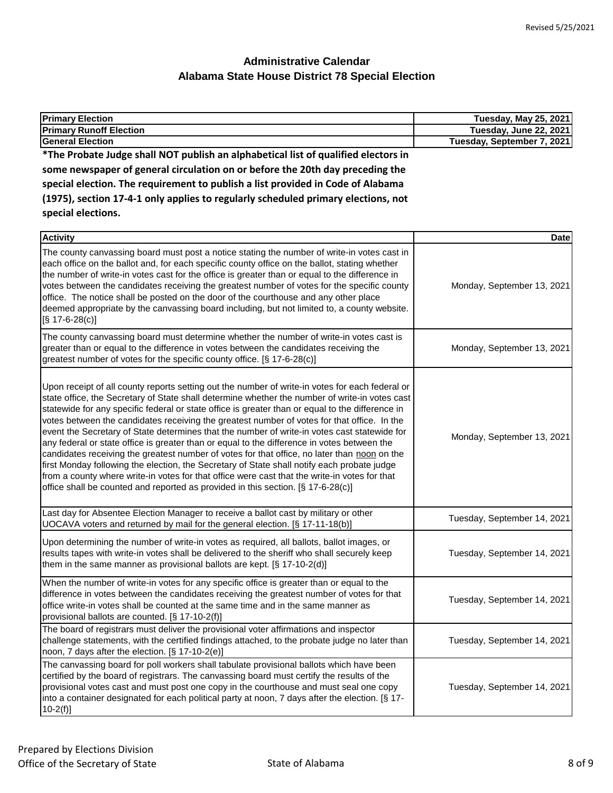| <b>Primary Election</b>                                                                                                                                                                                                                                                                                                                                                                                                                                                                                                                                                                                                                                                                                                                                                                                                                                                                                                                                                                 | Tuesday, May 25, 2021       |
|-----------------------------------------------------------------------------------------------------------------------------------------------------------------------------------------------------------------------------------------------------------------------------------------------------------------------------------------------------------------------------------------------------------------------------------------------------------------------------------------------------------------------------------------------------------------------------------------------------------------------------------------------------------------------------------------------------------------------------------------------------------------------------------------------------------------------------------------------------------------------------------------------------------------------------------------------------------------------------------------|-----------------------------|
| <b>Primary Runoff Election</b>                                                                                                                                                                                                                                                                                                                                                                                                                                                                                                                                                                                                                                                                                                                                                                                                                                                                                                                                                          | Tuesday, June 22, 2021      |
| <b>General Election</b>                                                                                                                                                                                                                                                                                                                                                                                                                                                                                                                                                                                                                                                                                                                                                                                                                                                                                                                                                                 | Tuesday, September 7, 2021  |
| *The Probate Judge shall NOT publish an alphabetical list of qualified electors in                                                                                                                                                                                                                                                                                                                                                                                                                                                                                                                                                                                                                                                                                                                                                                                                                                                                                                      |                             |
| some newspaper of general circulation on or before the 20th day preceding the                                                                                                                                                                                                                                                                                                                                                                                                                                                                                                                                                                                                                                                                                                                                                                                                                                                                                                           |                             |
| special election. The requirement to publish a list provided in Code of Alabama                                                                                                                                                                                                                                                                                                                                                                                                                                                                                                                                                                                                                                                                                                                                                                                                                                                                                                         |                             |
| (1975), section 17-4-1 only applies to regularly scheduled primary elections, not                                                                                                                                                                                                                                                                                                                                                                                                                                                                                                                                                                                                                                                                                                                                                                                                                                                                                                       |                             |
| special elections.                                                                                                                                                                                                                                                                                                                                                                                                                                                                                                                                                                                                                                                                                                                                                                                                                                                                                                                                                                      |                             |
| <b>Activity</b>                                                                                                                                                                                                                                                                                                                                                                                                                                                                                                                                                                                                                                                                                                                                                                                                                                                                                                                                                                         | <b>Date</b>                 |
| The county canvassing board must post a notice stating the number of write-in votes cast in<br>each office on the ballot and, for each specific county office on the ballot, stating whether<br>the number of write-in votes cast for the office is greater than or equal to the difference in<br>votes between the candidates receiving the greatest number of votes for the specific county<br>office. The notice shall be posted on the door of the courthouse and any other place<br>deemed appropriate by the canvassing board including, but not limited to, a county website.<br>$[S$ 17-6-28(c)]                                                                                                                                                                                                                                                                                                                                                                                | Monday, September 13, 2021  |
| The county canvassing board must determine whether the number of write-in votes cast is<br>greater than or equal to the difference in votes between the candidates receiving the<br>greatest number of votes for the specific county office. [§ 17-6-28(c)]                                                                                                                                                                                                                                                                                                                                                                                                                                                                                                                                                                                                                                                                                                                             | Monday, September 13, 2021  |
| Upon receipt of all county reports setting out the number of write-in votes for each federal or<br>state office, the Secretary of State shall determine whether the number of write-in votes cast<br>statewide for any specific federal or state office is greater than or equal to the difference in<br>votes between the candidates receiving the greatest number of votes for that office. In the<br>event the Secretary of State determines that the number of write-in votes cast statewide for<br>any federal or state office is greater than or equal to the difference in votes between the<br>candidates receiving the greatest number of votes for that office, no later than noon on the<br>first Monday following the election, the Secretary of State shall notify each probate judge<br>from a county where write-in votes for that office were cast that the write-in votes for that<br>office shall be counted and reported as provided in this section. [§ 17-6-28(c)] | Monday, September 13, 2021  |
| Last day for Absentee Election Manager to receive a ballot cast by military or other<br>UOCAVA voters and returned by mail for the general election. [§ 17-11-18(b)]                                                                                                                                                                                                                                                                                                                                                                                                                                                                                                                                                                                                                                                                                                                                                                                                                    | Tuesday, September 14, 2021 |
| Upon determining the number of write-in votes as required, all ballots, ballot images, or<br>وعوار واحترزته وجرا المواجر وعارب فكنعوط والمطلب والموسون بناجام روما المواجر ومغوري وبن وغنس والإنزيز ومحرمه وعلان                                                                                                                                                                                                                                                                                                                                                                                                                                                                                                                                                                                                                                                                                                                                                                        | $T_{i}$                     |

| results tapes with write-in votes shall be delivered to the sheriff who shall securely keep<br>them in the same manner as provisional ballots are kept. $\S$ 17-10-2(d)]                                                                                                                                                                                                                           | Tuesday, September 14, 2021 |
|----------------------------------------------------------------------------------------------------------------------------------------------------------------------------------------------------------------------------------------------------------------------------------------------------------------------------------------------------------------------------------------------------|-----------------------------|
| When the number of write-in votes for any specific office is greater than or equal to the<br>difference in votes between the candidates receiving the greatest number of votes for that<br>office write-in votes shall be counted at the same time and in the same manner as<br>provisional ballots are counted. [§ 17-10-2(f)]                                                                    | Tuesday, September 14, 2021 |
| The board of registrars must deliver the provisional voter affirmations and inspector<br>challenge statements, with the certified findings attached, to the probate judge no later than<br>noon, 7 days after the election. [§ 17-10-2(e)]                                                                                                                                                         | Tuesday, September 14, 2021 |
| The canvassing board for poll workers shall tabulate provisional ballots which have been<br>certified by the board of registrars. The canvassing board must certify the results of the<br>provisional votes cast and must post one copy in the courthouse and must seal one copy<br>into a container designated for each political party at noon, 7 days after the election. [§ 17-<br>$10-2(f)$ ] | Tuesday, September 14, 2021 |